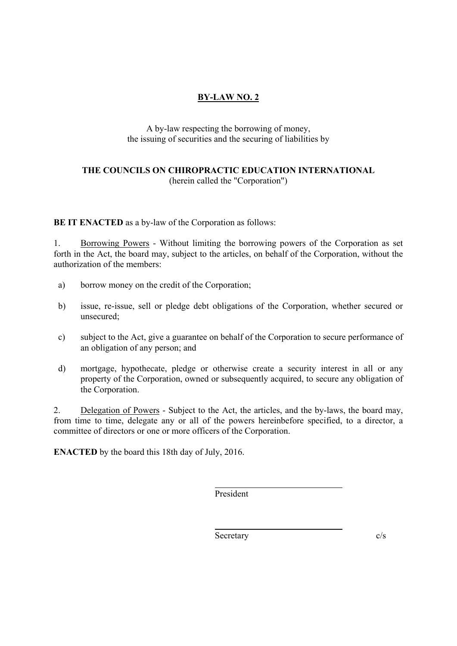## **BY-LAW NO. 2**

## A by-law respecting the borrowing of money, the issuing of securities and the securing of liabilities by

## **THE COUNCILS ON CHIROPRACTIC EDUCATION INTERNATIONAL** (herein called the "Corporation")

**BE IT ENACTED** as a by-law of the Corporation as follows:

1. Borrowing Powers - Without limiting the borrowing powers of the Corporation as set forth in the Act, the board may, subject to the articles, on behalf of the Corporation, without the authorization of the members:

- a) borrow money on the credit of the Corporation;
- b) issue, re-issue, sell or pledge debt obligations of the Corporation, whether secured or unsecured;
- c) subject to the Act, give a guarantee on behalf of the Corporation to secure performance of an obligation of any person; and
- d) mortgage, hypothecate, pledge or otherwise create a security interest in all or any property of the Corporation, owned or subsequently acquired, to secure any obligation of the Corporation.

2. Delegation of Powers - Subject to the Act, the articles, and the by-laws, the board may, from time to time, delegate any or all of the powers hereinbefore specified, to a director, a committee of directors or one or more officers of the Corporation.

**ENACTED** by the board this 18th day of July, 2016.

President

 $\overline{a}$ 

 $\overline{a}$ 

Secretary c/s